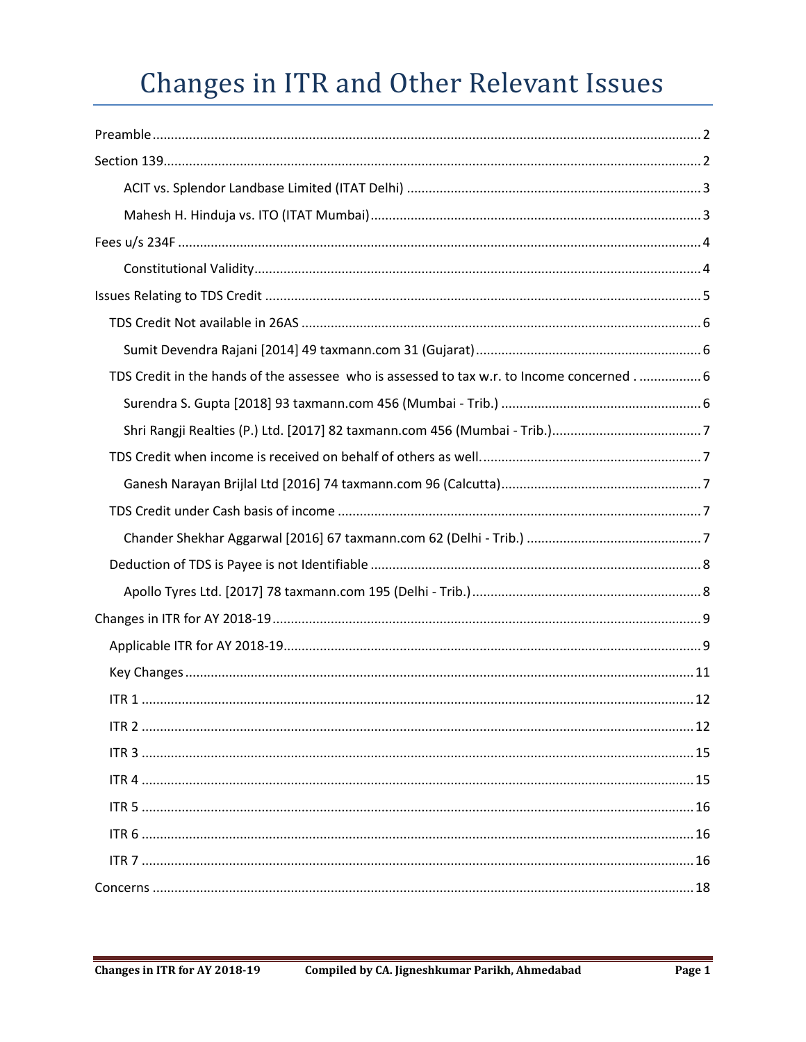# Changes in ITR and Other Relevant Issues

| TDS Credit in the hands of the assessee who is assessed to tax w.r. to Income concerned 6 |
|-------------------------------------------------------------------------------------------|
|                                                                                           |
|                                                                                           |
|                                                                                           |
|                                                                                           |
|                                                                                           |
|                                                                                           |
|                                                                                           |
|                                                                                           |
|                                                                                           |
|                                                                                           |
|                                                                                           |
|                                                                                           |
|                                                                                           |
|                                                                                           |
|                                                                                           |
|                                                                                           |
|                                                                                           |
|                                                                                           |
|                                                                                           |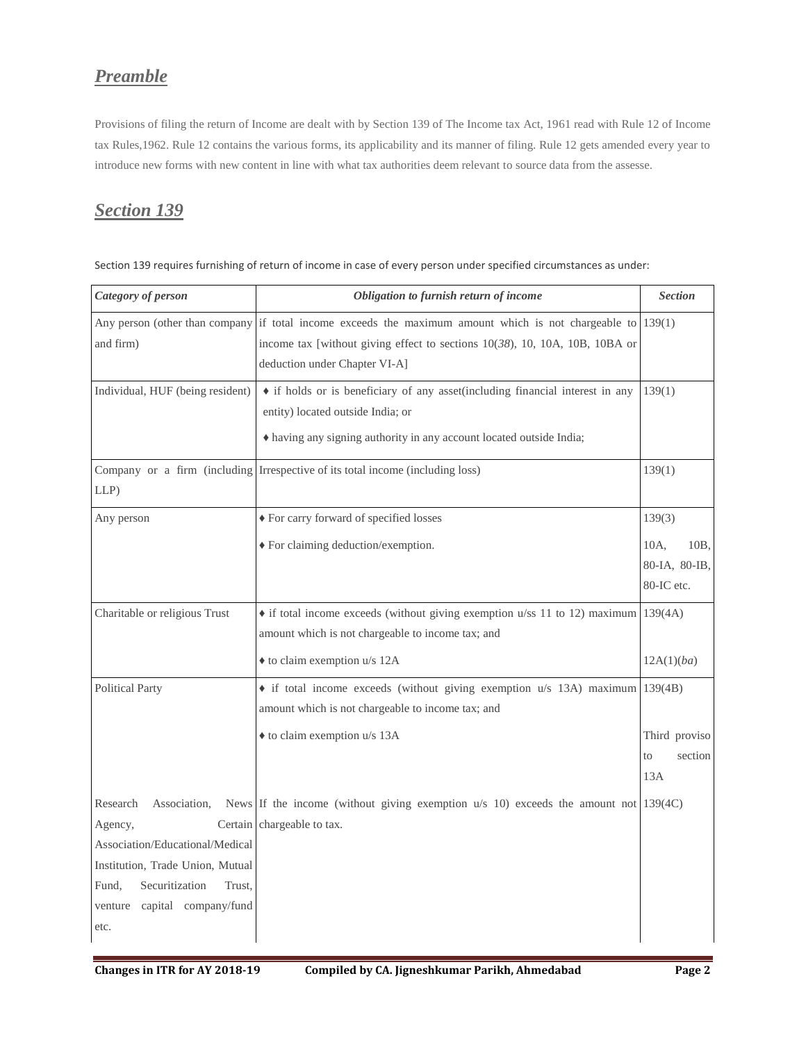# <span id="page-1-0"></span>*Preamble*

Provisions of filing the return of Income are dealt with by Section 139 of The Income tax Act, 1961 read with Rule 12 of Income tax Rules,1962. Rule 12 contains the various forms, its applicability and its manner of filing. Rule 12 gets amended every year to introduce new forms with new content in line with what tax authorities deem relevant to source data from the assesse.

# <span id="page-1-1"></span>*Section 139*

| Category of person                                                                                                                                                                         | Obligation to furnish return of income                                                                                                                                                                                           | <b>Section</b>                                      |
|--------------------------------------------------------------------------------------------------------------------------------------------------------------------------------------------|----------------------------------------------------------------------------------------------------------------------------------------------------------------------------------------------------------------------------------|-----------------------------------------------------|
| and firm)                                                                                                                                                                                  | Any person (other than company if total income exceeds the maximum amount which is not chargeable to $139(1)$<br>income tax [without giving effect to sections $10(38)$ , 10, 10A, 10B, 10BA or<br>deduction under Chapter VI-A] |                                                     |
| Individual, HUF (being resident)                                                                                                                                                           | • if holds or is beneficiary of any asset (including financial interest in any<br>entity) located outside India; or<br>• having any signing authority in any account located outside India;                                      | 139(1)                                              |
| $LLP$ )                                                                                                                                                                                    | Company or a firm (including Irrespective of its total income (including loss)                                                                                                                                                   | 139(1)                                              |
| Any person                                                                                                                                                                                 | ◆ For carry forward of specified losses                                                                                                                                                                                          | 139(3)                                              |
|                                                                                                                                                                                            | ◆ For claiming deduction/exemption.                                                                                                                                                                                              | 10A,<br>10B,<br>80-IA, 80-IB,<br>80-IC etc.         |
| Charitable or religious Trust                                                                                                                                                              | • if total income exceeds (without giving exemption u/ss 11 to 12) maximum 139(4A)<br>amount which is not chargeable to income tax; and                                                                                          |                                                     |
| <b>Political Party</b>                                                                                                                                                                     | ◆ to claim exemption u/s 12A<br>$\bullet$ if total income exceeds (without giving exemption u/s 13A) maximum 139(4B)<br>amount which is not chargeable to income tax; and<br>◆ to claim exemption u/s 13A                        | 12A(1)(ba)<br>Third proviso<br>section<br>to<br>13A |
| Research<br>Association,<br>Agency,<br>Association/Educational/Medical<br>Institution, Trade Union, Mutual<br>Securitization<br>Fund,<br>Trust,<br>capital company/fund<br>venture<br>etc. | News If the income (without giving exemption $u/s$ 10) exceeds the amount not 139(4C)<br>Certain chargeable to tax.                                                                                                              |                                                     |

Section 139 requires furnishing of return of income in case of every person under specified circumstances as under: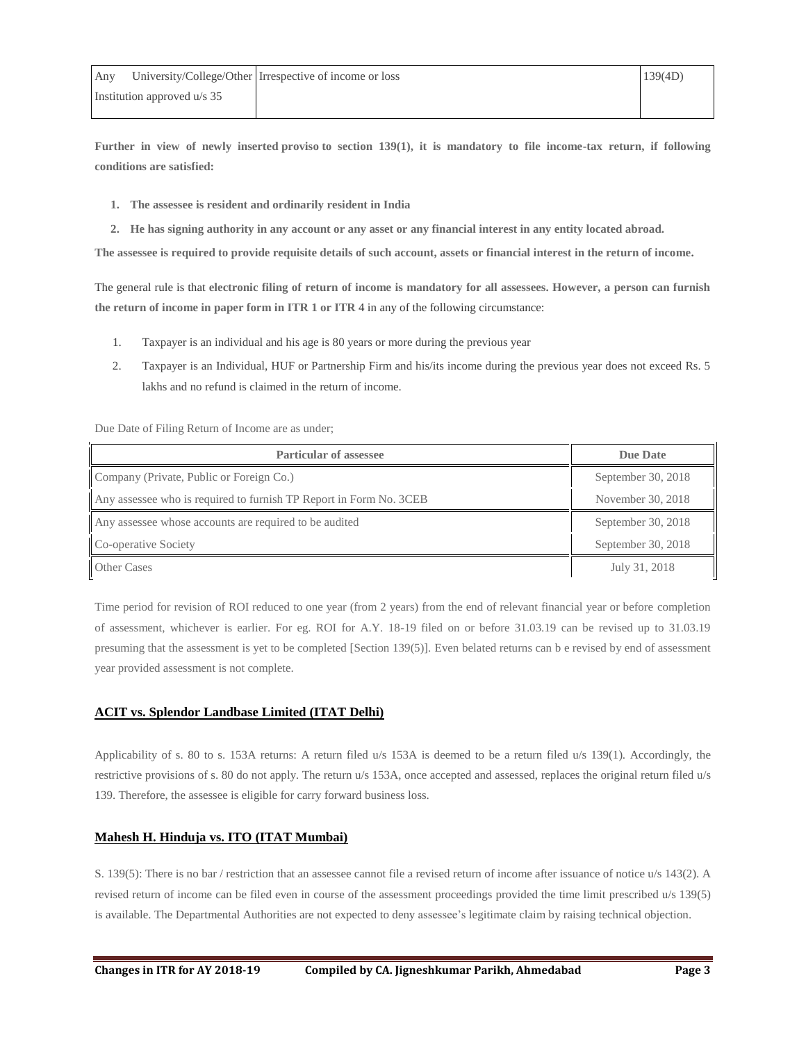**Further in view of newly inserted proviso to section 139(1), it is mandatory to file income-tax return, if following conditions are satisfied:**

- **1. The assessee is resident and ordinarily resident in India**
- **2. He has signing authority in any account or any asset or any financial interest in any entity located abroad.**

**The assessee is required to provide requisite details of such account, assets or financial interest in the return of income.**

The general rule is that **electronic filing of return of income is mandatory for all assessees. However, a person can furnish the return of income in paper form in ITR 1 or ITR** 4 in any of the following circumstance:

- 1. Taxpayer is an individual and his age is 80 years or more during the previous year
- 2. Taxpayer is an Individual, HUF or Partnership Firm and his/its income during the previous year does not exceed Rs. 5 lakhs and no refund is claimed in the return of income.

Due Date of Filing Return of Income are as under;

| <b>Particular of assessee</b>                                      | Due Date           |
|--------------------------------------------------------------------|--------------------|
| Company (Private, Public or Foreign Co.)                           | September 30, 2018 |
| Any assessee who is required to furnish TP Report in Form No. 3CEB | November 30, 2018  |
| Any assessee whose accounts are required to be audited             | September 30, 2018 |
| Co-operative Society                                               | September 30, 2018 |
| <b>Other Cases</b>                                                 | July 31, 2018      |

Time period for revision of ROI reduced to one year (from 2 years) from the end of relevant financial year or before completion of assessment, whichever is earlier. For eg. ROI for A.Y. 18-19 filed on or before 31.03.19 can be revised up to 31.03.19 presuming that the assessment is yet to be completed [Section 139(5)]. Even belated returns can b e revised by end of assessment year provided assessment is not complete.

## <span id="page-2-0"></span>**ACIT vs. Splendor [Landbase](http://itatonline.org/archives/acit-vs-splendor-landbase-limited-itat-delhi-applicability-of-s-80-to-s-153a-returns-a-return-filed-u-s-153a-is-deemed-to-be-a-return-filed-u-s-1391-accordingly-the-restrictive-provisions-of-s/) Limited (ITAT Delhi)**

Applicability of s. 80 to s. 153A returns: A return filed u/s 153A is deemed to be a return filed u/s 139(1). Accordingly, the restrictive provisions of s. 80 do not apply. The return u/s 153A, once accepted and assessed, replaces the original return filed u/s 139. Therefore, the assessee is eligible for carry forward business loss.

## <span id="page-2-1"></span>**Mahesh H. Hinduja vs. ITO (ITAT [Mumbai\)](http://itatonline.org/archives/mahesh-h-hinduja-vs-ito-itat-mumbai-s-1395-there-is-no-bar-restriction-that-an-assessee-cannot-file-a-revised-return-of-income-after-issuance-of-notice-u-s-1432-a-revised-return-of-income-can/)**

S. 139(5): There is no bar / restriction that an assessee cannot file a revised return of income after issuance of notice u/s 143(2). A revised return of income can be filed even in course of the assessment proceedings provided the time limit prescribed u/s 139(5) is available. The Departmental Authorities are not expected to deny assessee's legitimate claim by raising technical objection.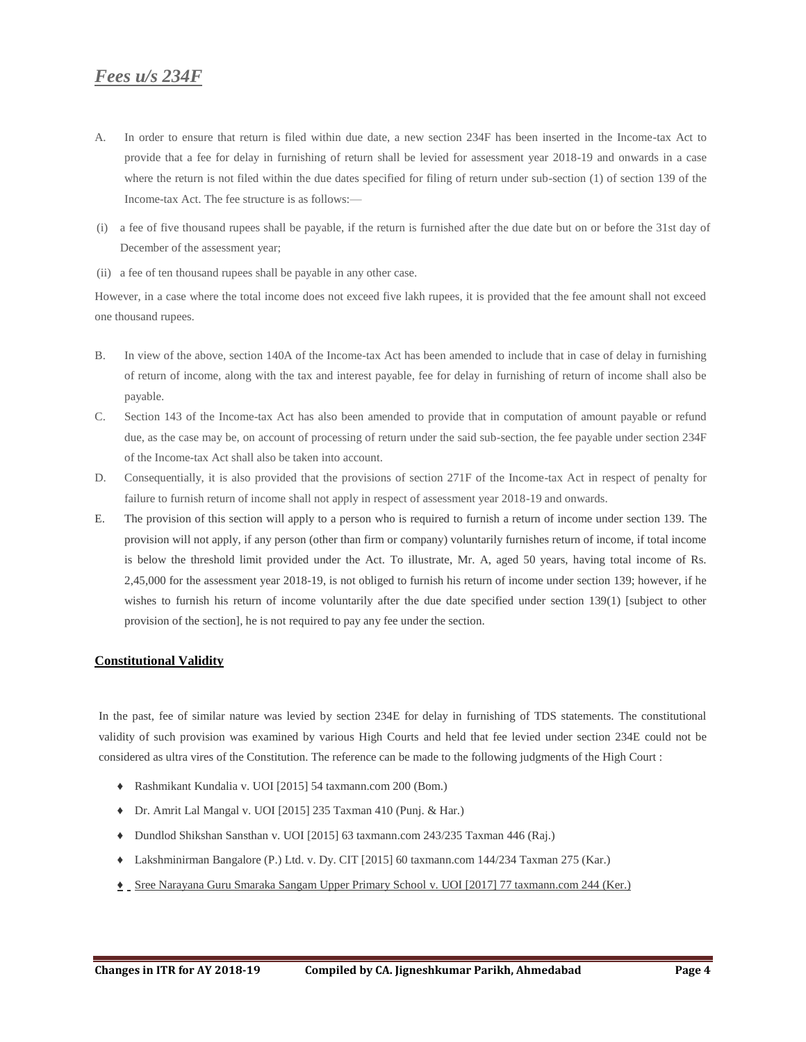## <span id="page-3-0"></span>*Fees u/s 234F*

- A. In order to ensure that return is filed within due date, a new section 234F has been inserted in the Income-tax Act to provide that a fee for delay in furnishing of return shall be levied for assessment year 2018-19 and onwards in a case where the return is not filed within the due dates specified for filing of return under sub-section (1) of section 139 of the Income-tax Act. The fee structure is as follows:—
- (i) a fee of five thousand rupees shall be payable, if the return is furnished after the due date but on or before the 31st day of December of the assessment year;
- (ii) a fee of ten thousand rupees shall be payable in any other case.

However, in a case where the total income does not exceed five lakh rupees, it is provided that the fee amount shall not exceed one thousand rupees.

- B. In view of the above, section 140A of the Income-tax Act has been amended to include that in case of delay in furnishing of return of income, along with the tax and interest payable, fee for delay in furnishing of return of income shall also be payable.
- C. Section 143 of the Income-tax Act has also been amended to provide that in computation of amount payable or refund due, as the case may be, on account of processing of return under the said sub-section, the fee payable under section 234F of the Income-tax Act shall also be taken into account.
- D. Consequentially, it is also provided that the provisions of section 271F of the Income-tax Act in respect of penalty for failure to furnish return of income shall not apply in respect of assessment year 2018-19 and onwards.
- E. The provision of this section will apply to a person who is required to furnish a return of income under section 139. The provision will not apply, if any person (other than firm or company) voluntarily furnishes return of income, if total income is below the threshold limit provided under the Act. To illustrate, Mr. A, aged 50 years, having total income of Rs. 2,45,000 for the assessment year 2018-19, is not obliged to furnish his return of income under section 139; however, if he wishes to furnish his return of income voluntarily after the due date specified under section 139(1) [subject to other provision of the section], he is not required to pay any fee under the section.

#### <span id="page-3-1"></span>**Constitutional Validity**

In the past, fee of similar nature was levied by section 234E for delay in furnishing of TDS statements. The constitutional validity of such provision was examined by various High Courts and held that fee levied under section 234E could not be considered as ultra vires of the Constitution. The reference can be made to the following judgments of the High Court :

- ♦ Rashmikant Kundalia v. UOI [2015] 54 taxmann.com 200 (Bom.)
- ♦ Dr. Amrit Lal Mangal v. UOI [2015] 235 Taxman 410 (Punj. & Har.)
- ♦ Dundlod Shikshan Sansthan v. UOI [2015] 63 taxmann.com 243/235 Taxman 446 (Raj.)
- ♦ Lakshminirman Bangalore (P.) Ltd. v. Dy. CIT [2015] 60 taxmann.com 144/234 Taxman 275 (Kar.)
- <span id="page-3-2"></span>**♦** Sree Narayana Guru Smaraka Sangam Upper Primary School v. UOI [2017] 77 taxmann.com 244 (Ker.)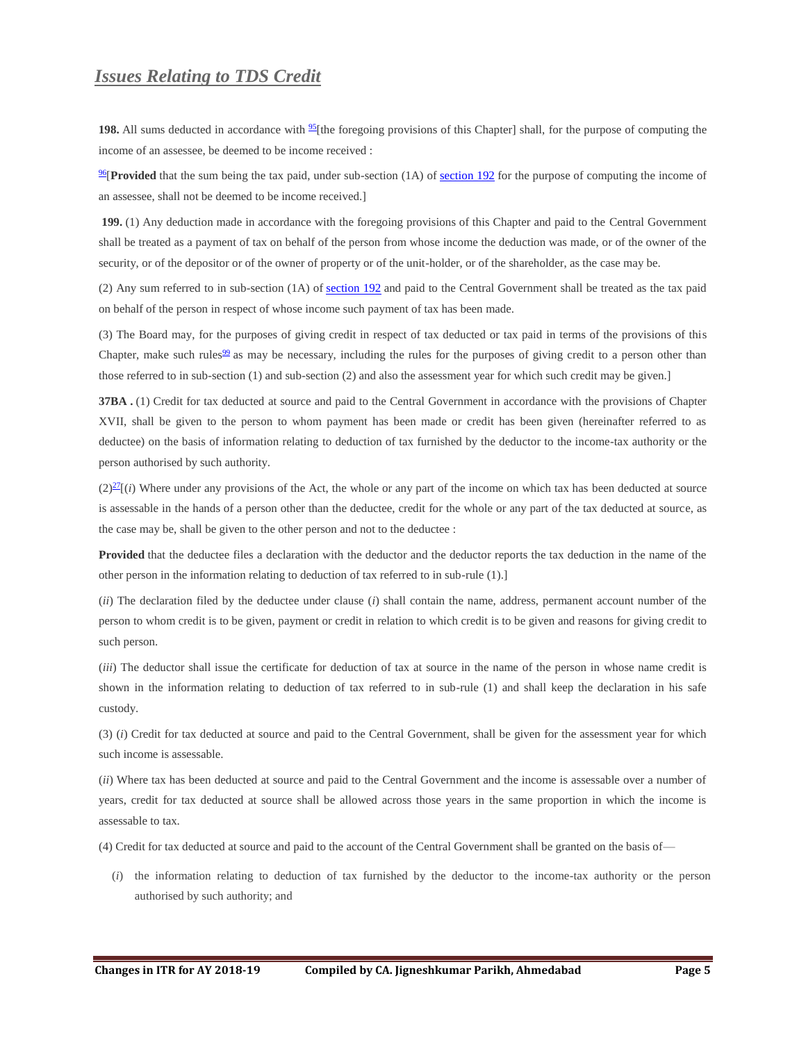## *Issues Relating to TDS Credit*

**198.** All sums deducted in accordance with  $\frac{95}{1}$  $\frac{95}{1}$  $\frac{95}{1}$  the foregoing provisions of this Chapter] shall, for the purpose of computing the income of an assessee, be deemed to be income received :

<sup>[96](javascript:void(0);)</sup>[**Provided** that the sum being the tax paid, under sub-section (1A) of [section 192](https://www.taxmann.com/fileopen.aspx?Page=ACT&id=102120000000071008&source=link) for the purpose of computing the income of an assessee, shall not be deemed to be income received.]

**199.** (1) Any deduction made in accordance with the foregoing provisions of this Chapter and paid to the Central Government shall be treated as a payment of tax on behalf of the person from whose income the deduction was made, or of the owner of the security, or of the depositor or of the owner of property or of the unit-holder, or of the shareholder, as the case may be.

(2) Any sum referred to in sub-section (1A) of [section 192](https://www.taxmann.com/fileopen.aspx?Page=ACT&id=102120000000071008&source=link) and paid to the Central Government shall be treated as the tax paid on behalf of the person in respect of whose income such payment of tax has been made.

(3) The Board may, for the purposes of giving credit in respect of tax deducted or tax paid in terms of the provisions of this Chapter, make such rules<sup>[99](javascript:void(0);)</sup> as may be necessary, including the rules for the purposes of giving credit to a person other than those referred to in sub-section (1) and sub-section (2) and also the assessment year for which such credit may be given.]

**37BA .** (1) Credit for tax deducted at source and paid to the Central Government in accordance with the provisions of Chapter XVII, shall be given to the person to whom payment has been made or credit has been given (hereinafter referred to as deductee) on the basis of information relating to deduction of tax furnished by the deductor to the income-tax authority or the person authorised by such authority.

 $(2)^{27}$  $(2)^{27}$  $(2)^{27}$ [*i*) Where under any provisions of the Act, the whole or any part of the income on which tax has been deducted at source is assessable in the hands of a person other than the deductee, credit for the whole or any part of the tax deducted at source, as the case may be, shall be given to the other person and not to the deductee :

**Provided** that the deductee files a declaration with the deductor and the deductor reports the tax deduction in the name of the other person in the information relating to deduction of tax referred to in sub-rule (1).]

(*ii*) The declaration filed by the deductee under clause (*i*) shall contain the name, address, permanent account number of the person to whom credit is to be given, payment or credit in relation to which credit is to be given and reasons for giving credit to such person.

(*iii*) The deductor shall issue the certificate for deduction of tax at source in the name of the person in whose name credit is shown in the information relating to deduction of tax referred to in sub-rule (1) and shall keep the declaration in his safe custody.

(3) (*i*) Credit for tax deducted at source and paid to the Central Government, shall be given for the assessment year for which such income is assessable.

(*ii*) Where tax has been deducted at source and paid to the Central Government and the income is assessable over a number of years, credit for tax deducted at source shall be allowed across those years in the same proportion in which the income is assessable to tax.

(4) Credit for tax deducted at source and paid to the account of the Central Government shall be granted on the basis of—

(*i*) the information relating to deduction of tax furnished by the deductor to the income-tax authority or the person authorised by such authority; and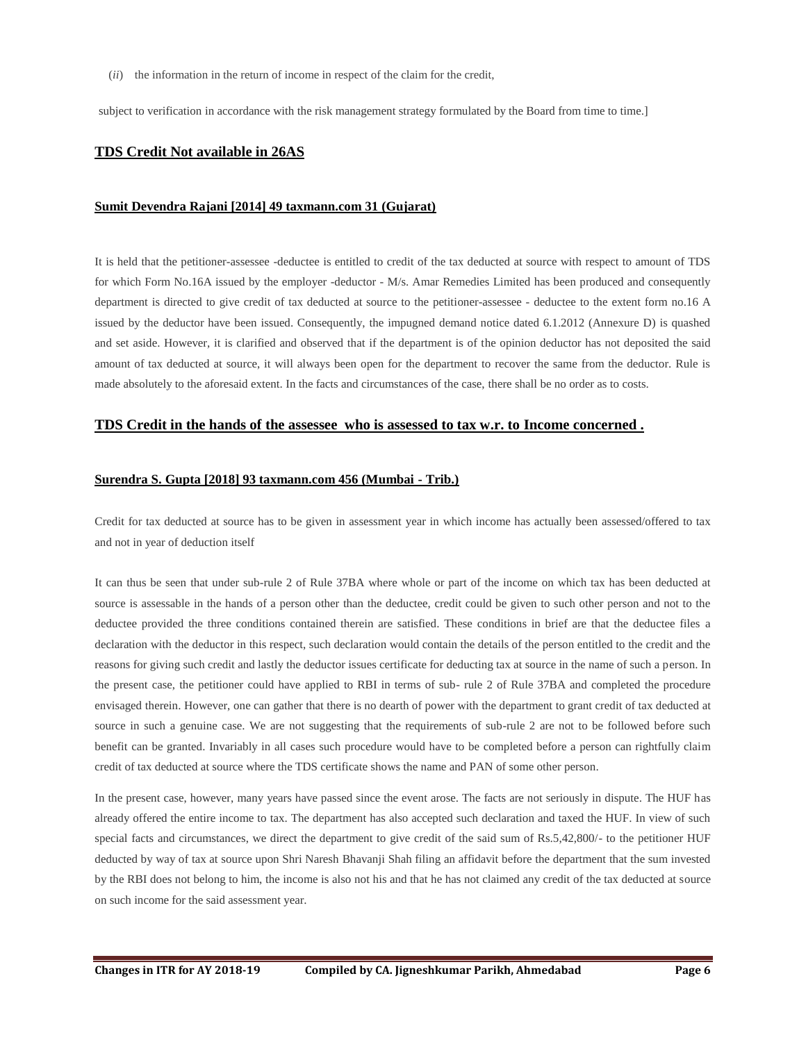(*ii*) the information in the return of income in respect of the claim for the credit,

subject to verification in accordance with the risk management strategy formulated by the Board from time to time.]

## <span id="page-5-0"></span>**TDS Credit Not available in 26AS**

#### <span id="page-5-1"></span>**Sumit Devendra Rajani [2014] 49 taxmann.com 31 (Gujarat)**

It is held that the petitioner-assessee -deductee is entitled to credit of the tax deducted at source with respect to amount of TDS for which Form No.16A issued by the employer -deductor - M/s. Amar Remedies Limited has been produced and consequently department is directed to give credit of tax deducted at source to the petitioner-assessee - deductee to the extent form no.16 A issued by the deductor have been issued. Consequently, the impugned demand notice dated 6.1.2012 (Annexure D) is quashed and set aside. However, it is clarified and observed that if the department is of the opinion deductor has not deposited the said amount of tax deducted at source, it will always been open for the department to recover the same from the deductor. Rule is made absolutely to the aforesaid extent. In the facts and circumstances of the case, there shall be no order as to costs.

#### <span id="page-5-2"></span>**TDS Credit in the hands of the assessee who is assessed to tax w.r. to Income concerned .**

#### <span id="page-5-3"></span>**Surendra S. Gupta [2018] 93 taxmann.com 456 (Mumbai - Trib.)**

Credit for tax deducted at source has to be given in assessment year in which income has actually been assessed/offered to tax and not in year of deduction itself

It can thus be seen that under sub-rule 2 of Rule 37BA where whole or part of the income on which tax has been deducted at source is assessable in the hands of a person other than the deductee, credit could be given to such other person and not to the deductee provided the three conditions contained therein are satisfied. These conditions in brief are that the deductee files a declaration with the deductor in this respect, such declaration would contain the details of the person entitled to the credit and the reasons for giving such credit and lastly the deductor issues certificate for deducting tax at source in the name of such a person. In the present case, the petitioner could have applied to RBI in terms of sub- rule 2 of Rule 37BA and completed the procedure envisaged therein. However, one can gather that there is no dearth of power with the department to grant credit of tax deducted at source in such a genuine case. We are not suggesting that the requirements of sub-rule 2 are not to be followed before such benefit can be granted. Invariably in all cases such procedure would have to be completed before a person can rightfully claim credit of tax deducted at source where the TDS certificate shows the name and PAN of some other person.

<span id="page-5-4"></span>In the present case, however, many years have passed since the event arose. The facts are not seriously in dispute. The HUF has already offered the entire income to tax. The department has also accepted such declaration and taxed the HUF. In view of such special facts and circumstances, we direct the department to give credit of the said sum of Rs.5,42,800/- to the petitioner HUF deducted by way of tax at source upon Shri Naresh Bhavanji Shah filing an affidavit before the department that the sum invested by the RBI does not belong to him, the income is also not his and that he has not claimed any credit of the tax deducted at source on such income for the said assessment year.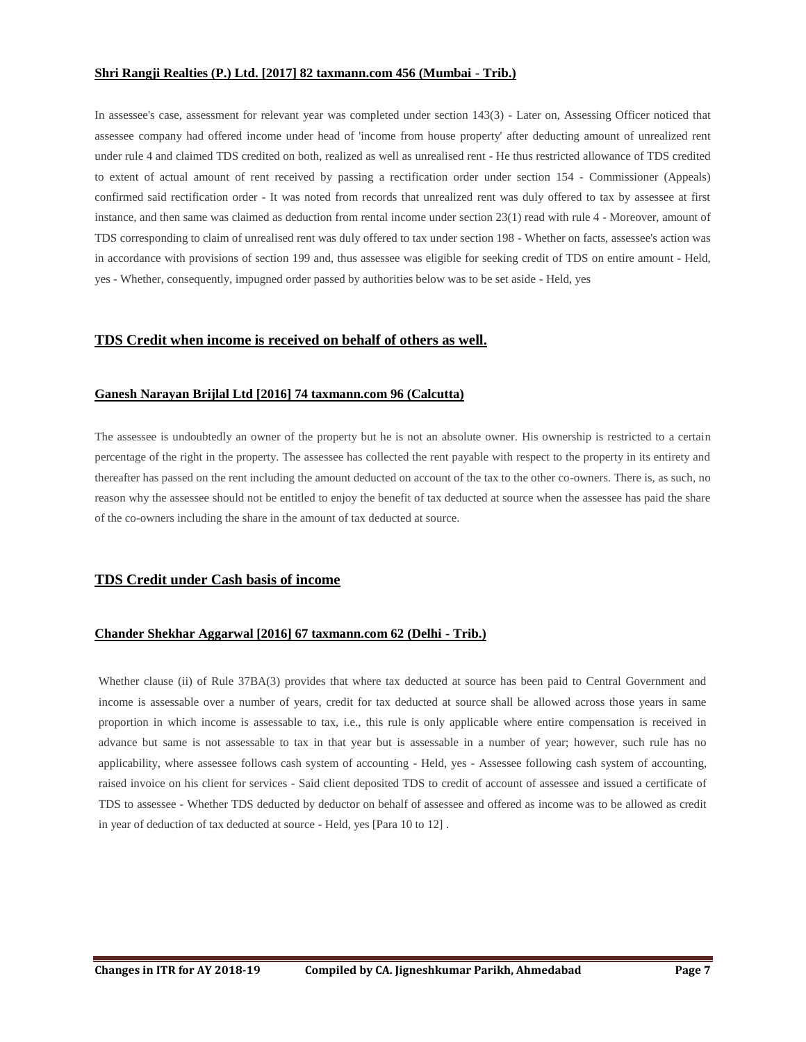### **Shri Rangji Realties (P.) Ltd. [2017] 82 taxmann.com 456 (Mumbai - Trib.)**

In assessee's case, assessment for relevant year was completed under section 143(3) - Later on, Assessing Officer noticed that assessee company had offered income under head of 'income from house property' after deducting amount of unrealized rent under rule 4 and claimed TDS credited on both, realized as well as unrealised rent - He thus restricted allowance of TDS credited to extent of actual amount of rent received by passing a rectification order under section 154 - Commissioner (Appeals) confirmed said rectification order - It was noted from records that unrealized rent was duly offered to tax by assessee at first instance, and then same was claimed as deduction from rental income under section 23(1) read with rule 4 - Moreover, amount of TDS corresponding to claim of unrealised rent was duly offered to tax under section 198 - Whether on facts, assessee's action was in accordance with provisions of section 199 and, thus assessee was eligible for seeking credit of TDS on entire amount - Held, yes - Whether, consequently, impugned order passed by authorities below was to be set aside - Held, yes

## <span id="page-6-0"></span>**TDS Credit when income is received on behalf of others as well.**

### <span id="page-6-1"></span>**Ganesh Narayan Brijlal Ltd [2016] 74 taxmann.com 96 (Calcutta)**

The assessee is undoubtedly an owner of the property but he is not an absolute owner. His ownership is restricted to a certain percentage of the right in the property. The assessee has collected the rent payable with respect to the property in its entirety and thereafter has passed on the rent including the amount deducted on account of the tax to the other co-owners. There is, as such, no reason why the assessee should not be entitled to enjoy the benefit of tax deducted at source when the assessee has paid the share of the co-owners including the share in the amount of tax deducted at source.

## <span id="page-6-2"></span>**TDS Credit under Cash basis of income**

### <span id="page-6-3"></span>**Chander Shekhar Aggarwal [2016] 67 taxmann.com 62 (Delhi - Trib.)**

<span id="page-6-4"></span>Whether clause (ii) of Rule 37BA(3) provides that where tax deducted at source has been paid to Central Government and income is assessable over a number of years, credit for tax deducted at source shall be allowed across those years in same proportion in which income is assessable to tax, i.e., this rule is only applicable where entire compensation is received in advance but same is not assessable to tax in that year but is assessable in a number of year; however, such rule has no applicability, where assessee follows cash system of accounting - Held, yes - Assessee following cash system of accounting, raised invoice on his client for services - Said client deposited TDS to credit of account of assessee and issued a certificate of TDS to assessee - Whether TDS deducted by deductor on behalf of assessee and offered as income was to be allowed as credit in year of deduction of tax deducted at source - Held, yes [Para 10 to 12] .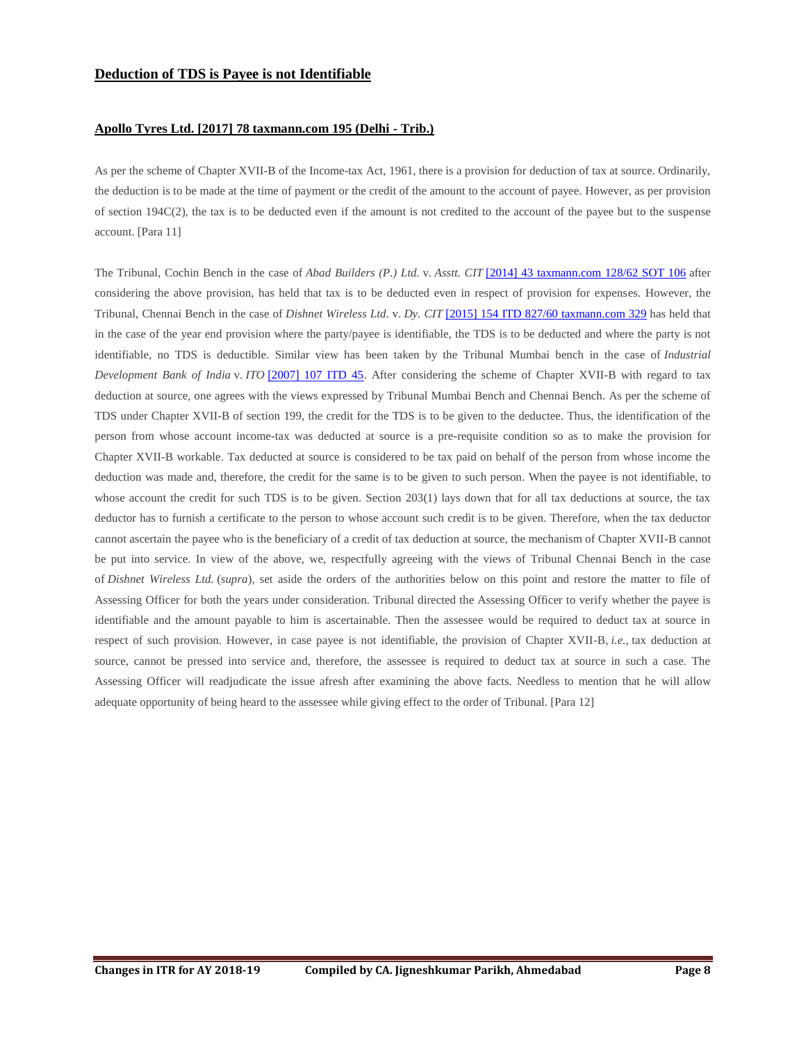### <span id="page-7-0"></span>**Apollo Tyres Ltd. [2017] 78 taxmann.com 195 (Delhi - Trib.)**

As per the scheme of Chapter XVII-B of the Income-tax Act, 1961, there is a provision for deduction of tax at source. Ordinarily, the deduction is to be made at the time of payment or the credit of the amount to the account of payee. However, as per provision of section 194C(2), the tax is to be deducted even if the amount is not credited to the account of the payee but to the suspense account. [Para 11]

The Tribunal, Cochin Bench in the case of *Abad Builders (P.) Ltd.* v. *Asstt. CIT* [\[2014\] 43 taxmann.com 128/62 SOT 106](https://www.taxmann.com/fileopen.aspx?id=101010000000089191&source=link) after considering the above provision, has held that tax is to be deducted even in respect of provision for expenses. However, the Tribunal, Chennai Bench in the case of *Dishnet Wireless Ltd.* v. *Dy. CIT* [\[2015\] 154 ITD 827/60 taxmann.com 329](https://www.taxmann.com/fileopen.aspx?id=101010000000161955&source=link) has held that in the case of the year end provision where the party/payee is identifiable, the TDS is to be deducted and where the party is not identifiable, no TDS is deductible. Similar view has been taken by the Tribunal Mumbai bench in the case of *Industrial Development Bank of India* v. *ITO* [\[2007\] 107 ITD 45.](https://www.taxmann.com/fileopen.aspx?id=101010000000073654&source=link) After considering the scheme of Chapter XVII-B with regard to tax deduction at source, one agrees with the views expressed by Tribunal Mumbai Bench and Chennai Bench. As per the scheme of TDS under Chapter XVII-B of section 199, the credit for the TDS is to be given to the deductee. Thus, the identification of the person from whose account income-tax was deducted at source is a pre-requisite condition so as to make the provision for Chapter XVII-B workable. Tax deducted at source is considered to be tax paid on behalf of the person from whose income the deduction was made and, therefore, the credit for the same is to be given to such person. When the payee is not identifiable, to whose account the credit for such TDS is to be given. Section 203(1) lays down that for all tax deductions at source, the tax deductor has to furnish a certificate to the person to whose account such credit is to be given. Therefore, when the tax deductor cannot ascertain the payee who is the beneficiary of a credit of tax deduction at source, the mechanism of Chapter XVII-B cannot be put into service. In view of the above, we, respectfully agreeing with the views of Tribunal Chennai Bench in the case of *Dishnet Wireless Ltd.* (*supra*), set aside the orders of the authorities below on this point and restore the matter to file of Assessing Officer for both the years under consideration. Tribunal directed the Assessing Officer to verify whether the payee is identifiable and the amount payable to him is ascertainable. Then the assessee would be required to deduct tax at source in respect of such provision. However, in case payee is not identifiable, the provision of Chapter XVII-B, *i.e.,* tax deduction at source, cannot be pressed into service and, therefore, the assessee is required to deduct tax at source in such a case. The Assessing Officer will readjudicate the issue afresh after examining the above facts. Needless to mention that he will allow adequate opportunity of being heard to the assessee while giving effect to the order of Tribunal. [Para 12]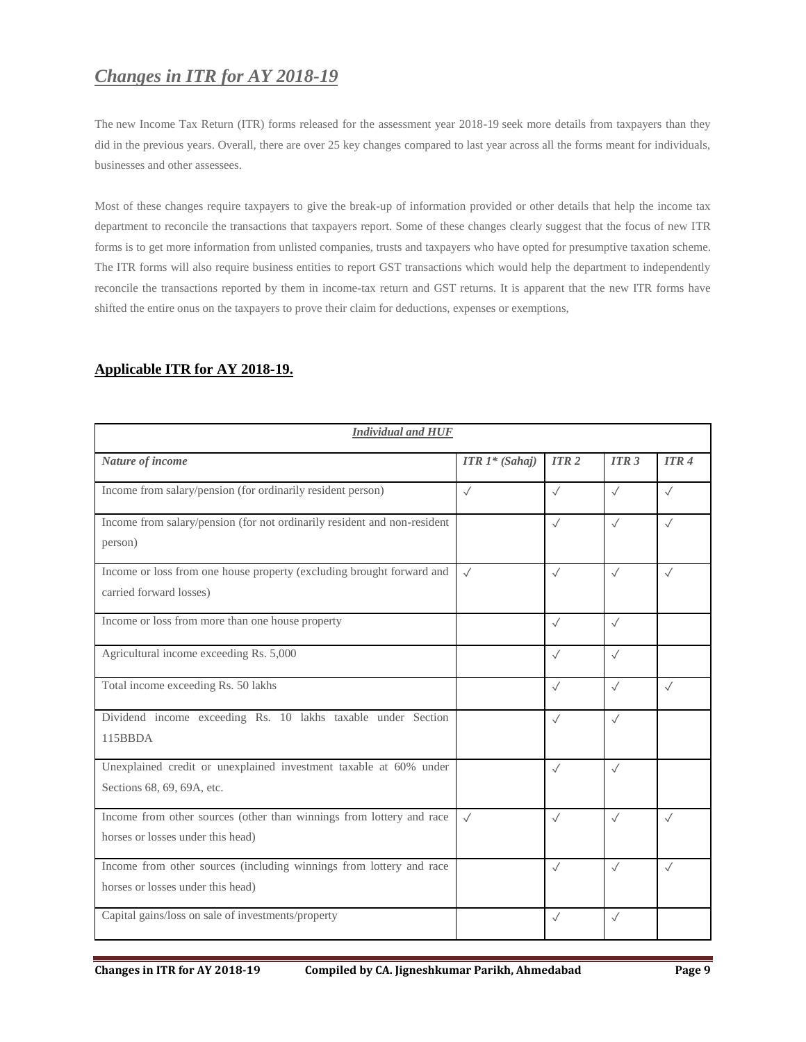# <span id="page-8-0"></span>*Changes in ITR for AY 2018-19*

The [new Income Tax Return \(ITR\) forms released for the assessment year 2018-19](https://www.taxmann.com/blogpost/2000000360/10-things-to-know-about-new-itr-forms-for-ay-2018-19.aspx) seek more details from taxpayers than they did in the previous years. Overall, there are over 25 key changes compared to last year across all the forms meant for individuals, businesses and other assessees.

Most of these changes require taxpayers to give the break-up of information provided or other details that help the income tax department to reconcile the transactions that taxpayers report. Some of these changes clearly suggest that the focus of new ITR forms is to get more information from unlisted companies, trusts and taxpayers who have opted for presumptive taxation scheme. The ITR forms will also require business entities to report GST transactions which would help the department to independently reconcile the transactions reported by them in income-tax return and GST returns. It is apparent that the new ITR forms have shifted the entire onus on the taxpayers to prove their claim for deductions, expenses or exemptions,

| <b>Individual and HUF</b>                                                                                 |                                     |              |                  |                  |
|-----------------------------------------------------------------------------------------------------------|-------------------------------------|--------------|------------------|------------------|
| Nature of income                                                                                          | <b>ITR</b> $1$ <sup>*</sup> (Sahaj) | <b>ITR2</b>  | ITR <sub>3</sub> | ITR <sub>4</sub> |
| Income from salary/pension (for ordinarily resident person)                                               | $\sqrt{}$                           | $\sqrt{}$    | $\checkmark$     | $\checkmark$     |
| Income from salary/pension (for not ordinarily resident and non-resident<br>person)                       |                                     | $\sqrt{}$    | $\checkmark$     | $\sqrt{}$        |
| Income or loss from one house property (excluding brought forward and<br>carried forward losses)          | $\sqrt{}$                           | $\checkmark$ | $\checkmark$     | $\sqrt{}$        |
| Income or loss from more than one house property                                                          |                                     | $\sqrt{}$    | $\sqrt{}$        |                  |
| Agricultural income exceeding Rs. 5,000                                                                   |                                     | $\sqrt{}$    | $\checkmark$     |                  |
| Total income exceeding Rs. 50 lakhs                                                                       |                                     | $\sqrt{}$    | $\checkmark$     | $\sqrt{}$        |
| Dividend income exceeding Rs. 10 lakhs taxable under Section<br>115BBDA                                   |                                     | $\sqrt{}$    | $\sqrt{}$        |                  |
| Unexplained credit or unexplained investment taxable at 60% under<br>Sections 68, 69, 69A, etc.           |                                     | $\sqrt{}$    | $\sqrt{}$        |                  |
| Income from other sources (other than winnings from lottery and race<br>horses or losses under this head) | $\sqrt{ }$                          | $\checkmark$ | $\checkmark$     | $\sqrt{}$        |
| Income from other sources (including winnings from lottery and race<br>horses or losses under this head)  |                                     | $\checkmark$ | $\checkmark$     | $\sqrt{}$        |
| Capital gains/loss on sale of investments/property                                                        |                                     | $\sqrt{}$    | $\checkmark$     |                  |

## <span id="page-8-1"></span>**Applicable ITR for AY 2018-19.**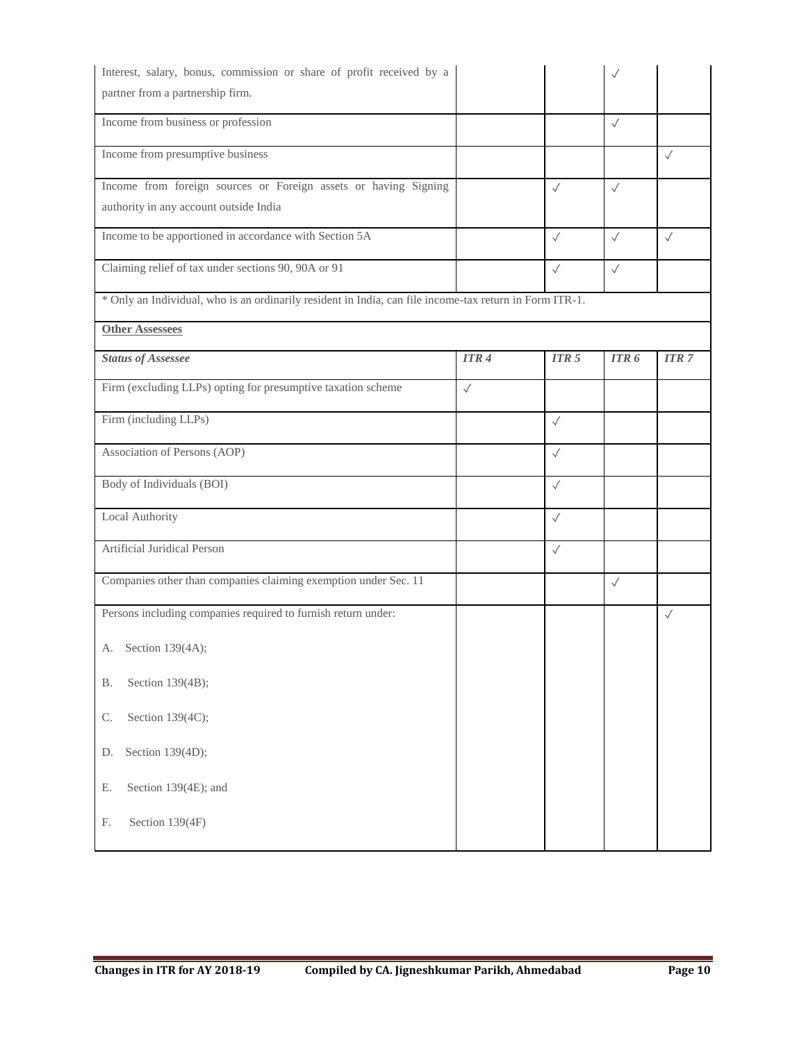<span id="page-9-0"></span>

| Interest, salary, bonus, commission or share of profit received by a                                    |              |                  | $\checkmark$ |              |
|---------------------------------------------------------------------------------------------------------|--------------|------------------|--------------|--------------|
| partner from a partnership firm.                                                                        |              |                  |              |              |
| Income from business or profession                                                                      |              |                  | $\sqrt{}$    |              |
| Income from presumptive business                                                                        |              |                  |              | $\sqrt{}$    |
| Income from foreign sources or Foreign assets or having Signing                                         |              | $\checkmark$     | $\checkmark$ |              |
| authority in any account outside India                                                                  |              |                  |              |              |
| Income to be apportioned in accordance with Section 5A                                                  |              | $\checkmark$     | $\checkmark$ | $\checkmark$ |
| Claiming relief of tax under sections 90, 90A or 91                                                     |              | $\sqrt{}$        | $\checkmark$ |              |
| * Only an Individual, who is an ordinarily resident in India, can file income-tax return in Form ITR-1. |              |                  |              |              |
| <b>Other Assessees</b>                                                                                  |              |                  |              |              |
| <b>Status of Assessee</b>                                                                               | ITR4         | ITR <sub>5</sub> | ITR6         | <b>ITR 7</b> |
| Firm (excluding LLPs) opting for presumptive taxation scheme                                            | $\checkmark$ |                  |              |              |
| Firm (including LLPs)                                                                                   |              | $\checkmark$     |              |              |
| Association of Persons (AOP)                                                                            |              | $\checkmark$     |              |              |
| Body of Individuals (BOI)                                                                               |              | $\sqrt{}$        |              |              |
| Local Authority                                                                                         |              | $\checkmark$     |              |              |
| Artificial Juridical Person                                                                             |              | $\checkmark$     |              |              |
| Companies other than companies claiming exemption under Sec. 11                                         |              |                  | $\checkmark$ |              |
| Persons including companies required to furnish return under:                                           |              |                  |              | $\checkmark$ |
| A. Section 139(4A);                                                                                     |              |                  |              |              |
| <b>B.</b><br>Section 139(4B);                                                                           |              |                  |              |              |
| Section 139(4C);<br>C.                                                                                  |              |                  |              |              |
| Section 139(4D);<br>D.                                                                                  |              |                  |              |              |
| Section 139(4E); and<br>Е.                                                                              |              |                  |              |              |
| Section 139(4F)<br>F.                                                                                   |              |                  |              |              |
|                                                                                                         |              |                  |              |              |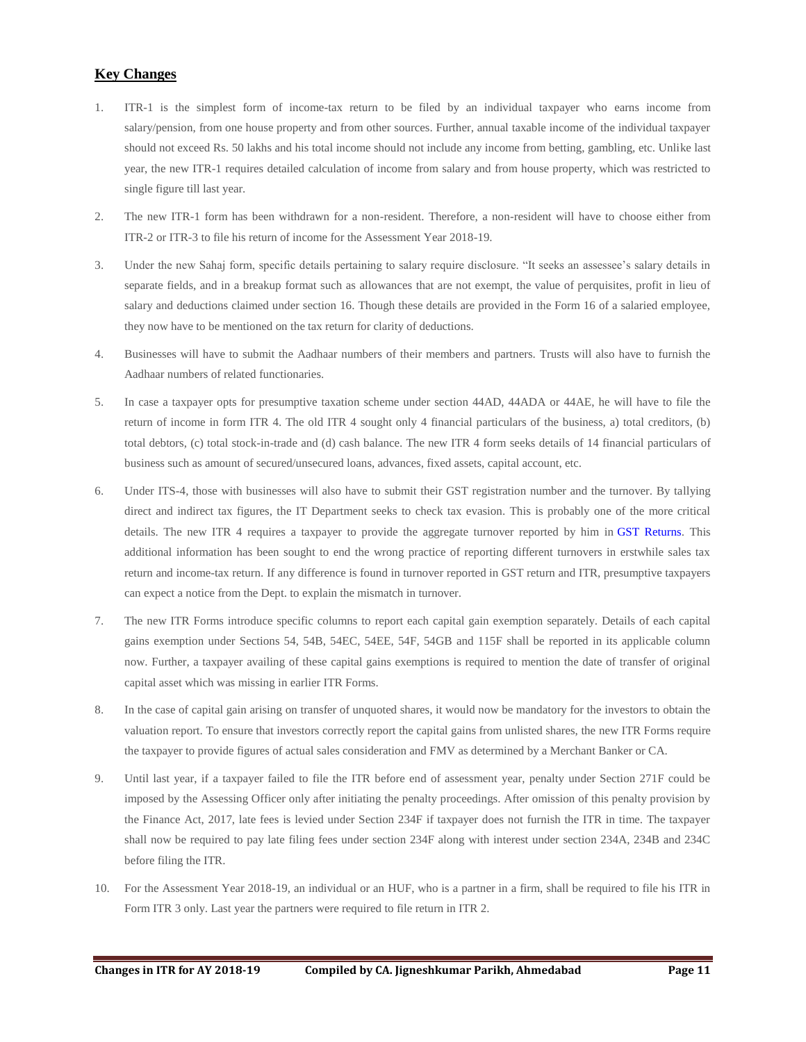## **Key Changes**

- 1. ITR-1 is the simplest form of income-tax return to be filed by an individual taxpayer who earns income from salary/pension, from one house property and from other sources. Further, annual taxable income of the individual taxpayer should not exceed Rs. 50 lakhs and his total income should not include any income from betting, gambling, etc. Unlike last year, the new ITR-1 requires detailed calculation of income from salary and from house property, which was restricted to single figure till last year.
- 2. The new ITR-1 form has been withdrawn for a non-resident. Therefore, a non-resident will have to choose either from ITR-2 or ITR-3 to file his return of income for the Assessment Year 2018-19.
- 3. Under the new Sahaj form, specific details pertaining to salary require disclosure. "It seeks an assessee's salary details in separate fields, and in a breakup format such as allowances that are not exempt, the value of perquisites, profit in lieu of salary and deductions claimed under section 16. Though these details are provided in the Form 16 of a salaried employee, they now have to be mentioned on the tax return for clarity of deductions.
- 4. Businesses will have to submit the Aadhaar numbers of their members and partners. Trusts will also have to furnish the Aadhaar numbers of related functionaries.
- 5. In case a taxpayer opts for presumptive taxation scheme under section 44AD, 44ADA or 44AE, he will have to file the return of income in form ITR 4. The old ITR 4 sought only 4 financial particulars of the business, a) total creditors, (b) total debtors, (c) total stock-in-trade and (d) cash balance. The new ITR 4 form seeks details of 14 financial particulars of business such as amount of secured/unsecured loans, advances, fixed assets, capital account, etc.
- 6. Under ITS-4, those with businesses will also have to submit their GST registration number and the turnover. By tallying direct and indirect tax figures, the IT Department seeks to check tax evasion. This is probably one of the more critical details. The new ITR 4 requires a taxpayer to provide the aggregate turnover reported by him in [GST Returns.](https://www.taxmann.com/Onesolution/more-features-gst) This additional information has been sought to end the wrong practice of reporting different turnovers in erstwhile sales tax return and income-tax return. If any difference is found in turnover reported in GST return and ITR, presumptive taxpayers can expect a notice from the Dept. to explain the mismatch in turnover.
- 7. The new ITR Forms introduce specific columns to report each capital gain exemption separately. Details of each capital gains exemption under Sections 54, 54B, 54EC, 54EE, 54F, 54GB and 115F shall be reported in its applicable column now. Further, a taxpayer availing of these capital gains exemptions is required to mention the date of transfer of original capital asset which was missing in earlier ITR Forms.
- 8. In the case of capital gain arising on transfer of unquoted shares, it would now be mandatory for the investors to obtain the valuation report. To ensure that investors correctly report the capital gains from unlisted shares, the new ITR Forms require the taxpayer to provide figures of actual sales consideration and FMV as determined by a Merchant Banker or CA.
- 9. Until last year, if a taxpayer failed to file the ITR before end of assessment year, penalty under Section 271F could be imposed by the Assessing Officer only after initiating the penalty proceedings. After omission of this penalty provision by the Finance Act, 2017, late fees is levied under Section 234F if taxpayer does not furnish the ITR in time. The taxpayer shall now be required to pay late filing fees under section 234F along with interest under section 234A, 234B and 234C before filing the ITR.
- 10. For the Assessment Year 2018-19, an individual or an HUF, who is a partner in a firm, shall be required to file his ITR in Form ITR 3 only. Last year the partners were required to file return in ITR 2.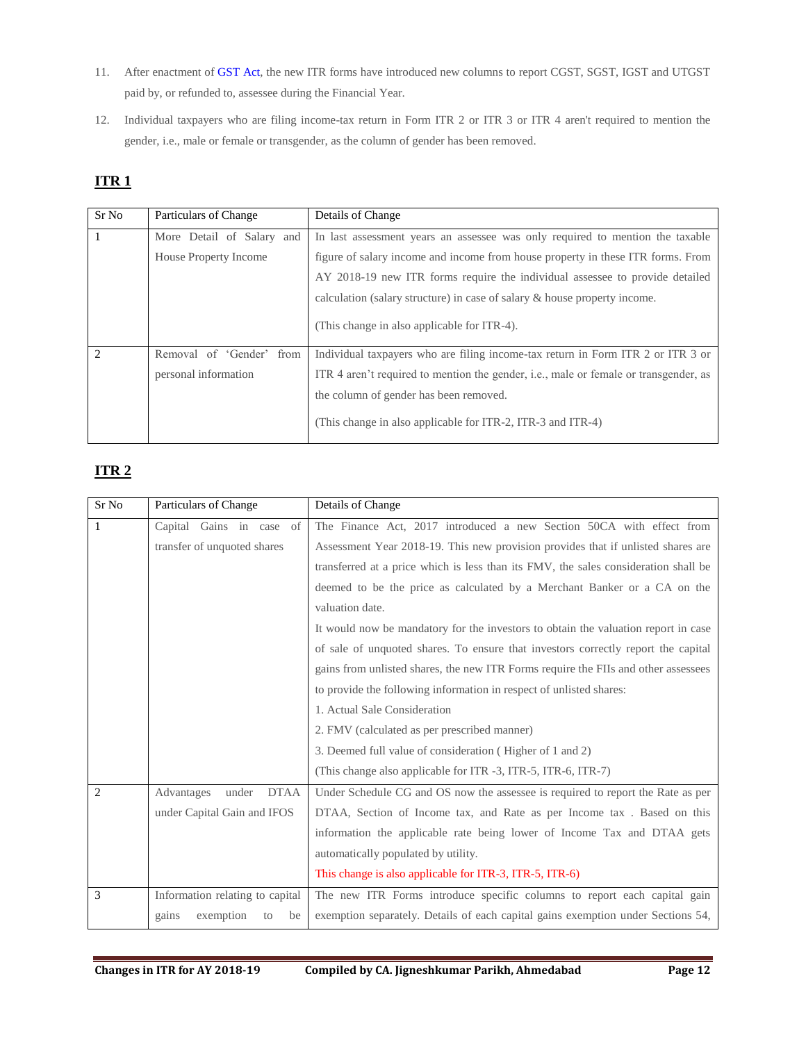- 11. After enactment of [GST Act,](https://gst.taxmann.com/acts.aspx) the new ITR forms have introduced new columns to report CGST, SGST, IGST and UTGST paid by, or refunded to, assessee during the Financial Year.
- 12. Individual taxpayers who are filing income-tax return in Form ITR 2 or ITR 3 or ITR 4 aren't required to mention the gender, i.e., male or female or transgender, as the column of gender has been removed.

## <span id="page-11-0"></span>**ITR 1**

| Sr No                       | Particulars of Change       | Details of Change                                                                    |
|-----------------------------|-----------------------------|--------------------------------------------------------------------------------------|
|                             | More Detail of Salary and   | In last assessment years an assessee was only required to mention the taxable        |
|                             | House Property Income       | figure of salary income and income from house property in these ITR forms. From      |
|                             |                             | AY 2018-19 new ITR forms require the individual assessee to provide detailed         |
|                             |                             | calculation (salary structure) in case of salary & house property income.            |
|                             |                             | (This change in also applicable for ITR-4).                                          |
| $\mathcal{D}_{\mathcal{L}}$ | Removal of 'Gender'<br>from | Individual taxpayers who are filing income-tax return in Form ITR 2 or ITR 3 or      |
|                             | personal information        | ITR 4 aren't required to mention the gender, i.e., male or female or transgender, as |
|                             |                             | the column of gender has been removed.                                               |
|                             |                             | (This change in also applicable for ITR-2, ITR-3 and ITR-4)                          |

# <span id="page-11-1"></span>**ITR 2**

| Sr No | Particulars of Change              | Details of Change                                                                   |
|-------|------------------------------------|-------------------------------------------------------------------------------------|
| 1     | Capital Gains in case of           | The Finance Act, 2017 introduced a new Section 50CA with effect from                |
|       | transfer of unquoted shares        | Assessment Year 2018-19. This new provision provides that if unlisted shares are    |
|       |                                    | transferred at a price which is less than its FMV, the sales consideration shall be |
|       |                                    | deemed to be the price as calculated by a Merchant Banker or a CA on the            |
|       |                                    | valuation date.                                                                     |
|       |                                    | It would now be mandatory for the investors to obtain the valuation report in case  |
|       |                                    | of sale of unquoted shares. To ensure that investors correctly report the capital   |
|       |                                    | gains from unlisted shares, the new ITR Forms require the FIIs and other assesses   |
|       |                                    | to provide the following information in respect of unlisted shares:                 |
|       |                                    | 1. Actual Sale Consideration                                                        |
|       |                                    | 2. FMV (calculated as per prescribed manner)                                        |
|       |                                    | 3. Deemed full value of consideration (Higher of 1 and 2)                           |
|       |                                    | (This change also applicable for ITR -3, ITR-5, ITR-6, ITR-7)                       |
| 2     | <b>DTAA</b><br>Advantages<br>under | Under Schedule CG and OS now the assessee is required to report the Rate as per     |
|       | under Capital Gain and IFOS        | DTAA, Section of Income tax, and Rate as per Income tax. Based on this              |
|       |                                    | information the applicable rate being lower of Income Tax and DTAA gets             |
|       |                                    | automatically populated by utility.                                                 |
|       |                                    | This change is also applicable for ITR-3, ITR-5, ITR-6)                             |
| 3     | Information relating to capital    | The new ITR Forms introduce specific columns to report each capital gain            |
|       | exemption<br>gains<br>be<br>to     | exemption separately. Details of each capital gains exemption under Sections 54,    |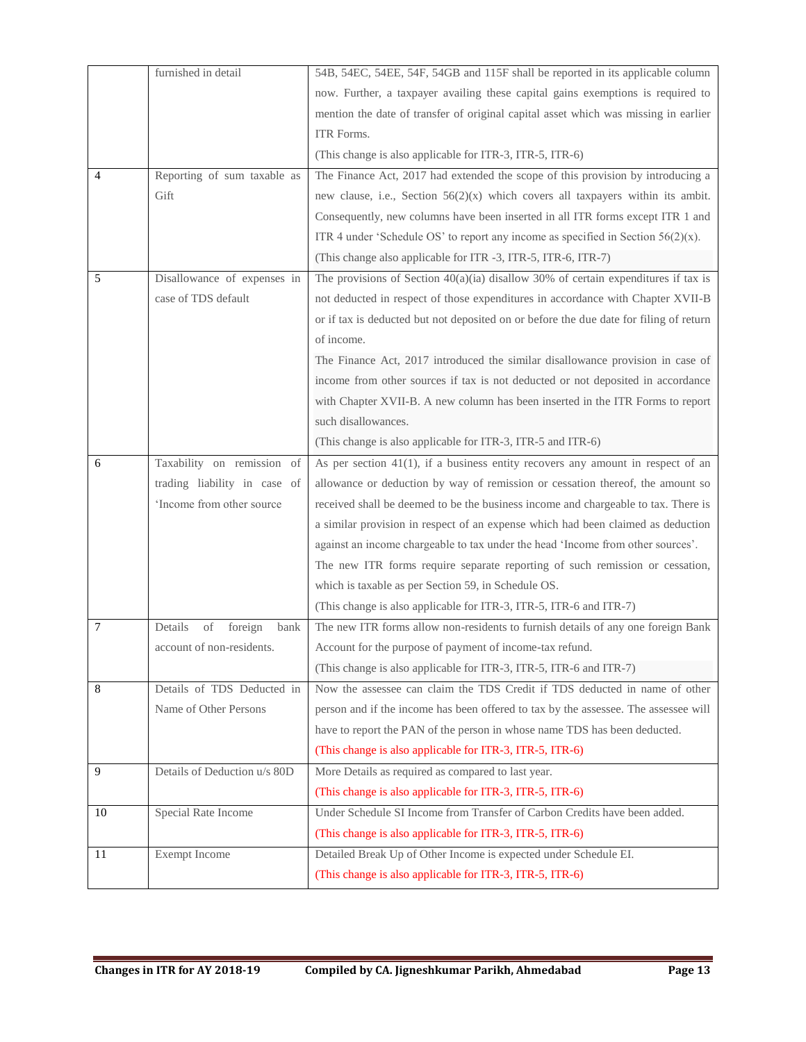|    | furnished in detail              | 54B, 54EC, 54EE, 54F, 54GB and 115F shall be reported in its applicable column         |
|----|----------------------------------|----------------------------------------------------------------------------------------|
|    |                                  | now. Further, a taxpayer availing these capital gains exemptions is required to        |
|    |                                  | mention the date of transfer of original capital asset which was missing in earlier    |
|    |                                  | ITR Forms.                                                                             |
|    |                                  | (This change is also applicable for ITR-3, ITR-5, ITR-6)                               |
| 4  | Reporting of sum taxable as      | The Finance Act, 2017 had extended the scope of this provision by introducing a        |
|    | Gift                             | new clause, i.e., Section $56(2)(x)$ which covers all taxpayers within its ambit.      |
|    |                                  | Consequently, new columns have been inserted in all ITR forms except ITR 1 and         |
|    |                                  | ITR 4 under 'Schedule OS' to report any income as specified in Section $56(2)(x)$ .    |
|    |                                  | (This change also applicable for ITR -3, ITR-5, ITR-6, ITR-7)                          |
| 5  | Disallowance of expenses in      | The provisions of Section $40(a)(ia)$ disallow 30% of certain expenditures if tax is   |
|    | case of TDS default              | not deducted in respect of those expenditures in accordance with Chapter XVII-B        |
|    |                                  | or if tax is deducted but not deposited on or before the due date for filing of return |
|    |                                  | of income.                                                                             |
|    |                                  | The Finance Act, 2017 introduced the similar disallowance provision in case of         |
|    |                                  | income from other sources if tax is not deducted or not deposited in accordance        |
|    |                                  | with Chapter XVII-B. A new column has been inserted in the ITR Forms to report         |
|    |                                  | such disallowances.                                                                    |
|    |                                  | (This change is also applicable for ITR-3, ITR-5 and ITR-6)                            |
| 6  | Taxability on remission of       | As per section $41(1)$ , if a business entity recovers any amount in respect of an     |
|    | trading liability in case of     | allowance or deduction by way of remission or cessation thereof, the amount so         |
|    | 'Income from other source        | received shall be deemed to be the business income and chargeable to tax. There is     |
|    |                                  | a similar provision in respect of an expense which had been claimed as deduction       |
|    |                                  | against an income chargeable to tax under the head 'Income from other sources'.        |
|    |                                  | The new ITR forms require separate reporting of such remission or cessation,           |
|    |                                  | which is taxable as per Section 59, in Schedule OS.                                    |
|    |                                  | (This change is also applicable for ITR-3, ITR-5, ITR-6 and ITR-7)                     |
| 7  | Details<br>of<br>foreign<br>bank | The new ITR forms allow non-residents to furnish details of any one foreign Bank       |
|    | account of non-residents.        | Account for the purpose of payment of income-tax refund.                               |
|    |                                  | (This change is also applicable for ITR-3, ITR-5, ITR-6 and ITR-7)                     |
| 8  | Details of TDS Deducted in       | Now the assessee can claim the TDS Credit if TDS deducted in name of other             |
|    | Name of Other Persons            | person and if the income has been offered to tax by the assessee. The assessee will    |
|    |                                  | have to report the PAN of the person in whose name TDS has been deducted.              |
|    |                                  | (This change is also applicable for ITR-3, ITR-5, ITR-6)                               |
| 9  | Details of Deduction u/s 80D     | More Details as required as compared to last year.                                     |
|    |                                  | (This change is also applicable for ITR-3, ITR-5, ITR-6)                               |
| 10 | Special Rate Income              | Under Schedule SI Income from Transfer of Carbon Credits have been added.              |
|    |                                  | (This change is also applicable for ITR-3, ITR-5, ITR-6)                               |
| 11 | Exempt Income                    | Detailed Break Up of Other Income is expected under Schedule EI.                       |
|    |                                  | (This change is also applicable for ITR-3, ITR-5, ITR-6)                               |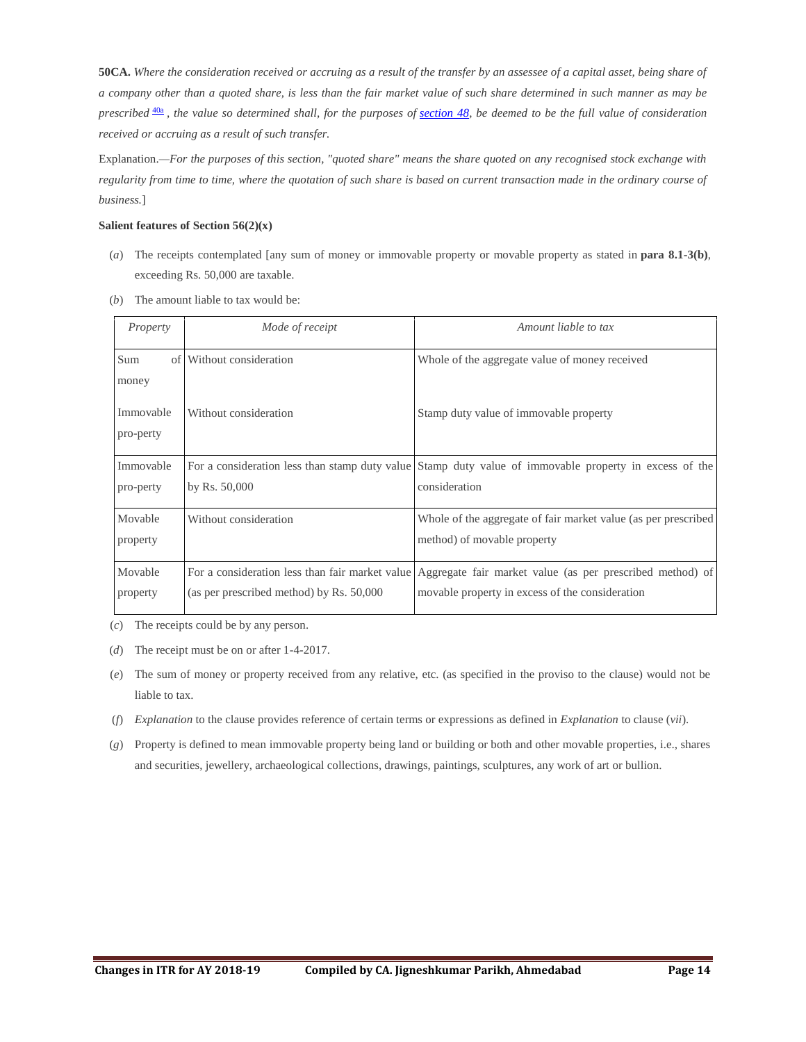**50CA.** *Where the consideration received or accruing as a result of the transfer by an assessee of a capital asset, being share of a company other than a quoted share, is less than the fair market value of such share determined in such manner as may be prescribed* [40a](javascript:void(0);) *, the value so determined shall, for the purposes of [section 48,](https://www.taxmann.com/fileopen.aspx?Page=ACT&id=102120000000071189&source=link) be deemed to be the full value of consideration received or accruing as a result of such transfer.*

Explanation.*—For the purposes of this section, "quoted share" means the share quoted on any recognised stock exchange with regularity from time to time, where the quotation of such share is based on current transaction made in the ordinary course of business.*]

#### **Salient features of Section 56(2)(x)**

- (*a*) The receipts contemplated [any sum of money or immovable property or movable property as stated in **para 8.1-3(b)**, exceeding Rs. 50,000 are taxable.
- (*b*) The amount liable to tax would be:

| Property               | Mode of receipt                          | Amount liable to tax                                                                                                                                         |
|------------------------|------------------------------------------|--------------------------------------------------------------------------------------------------------------------------------------------------------------|
| Sum<br>money           | of Without consideration                 | Whole of the aggregate value of money received                                                                                                               |
| Immovable<br>pro-perty | Without consideration                    | Stamp duty value of immovable property                                                                                                                       |
| Immovable<br>pro-perty | by Rs. $50,000$                          | For a consideration less than stamp duty value Stamp duty value of immovable property in excess of the<br>consideration                                      |
| Movable<br>property    | Without consideration                    | Whole of the aggregate of fair market value (as per prescribed<br>method) of movable property                                                                |
| Movable<br>property    | (as per prescribed method) by Rs. 50,000 | For a consideration less than fair market value Aggregate fair market value (as per prescribed method) of<br>movable property in excess of the consideration |

(*c*) The receipts could be by any person.

(*d*) The receipt must be on or after 1-4-2017.

- (*e*) The sum of money or property received from any relative, etc. (as specified in the proviso to the clause) would not be liable to tax.
- (*f*) *Explanation* to the clause provides reference of certain terms or expressions as defined in *Explanation* to clause (*vii*).
- (*g*) Property is defined to mean immovable property being land or building or both and other movable properties, i.e., shares and securities, jewellery, archaeological collections, drawings, paintings, sculptures, any work of art or bullion.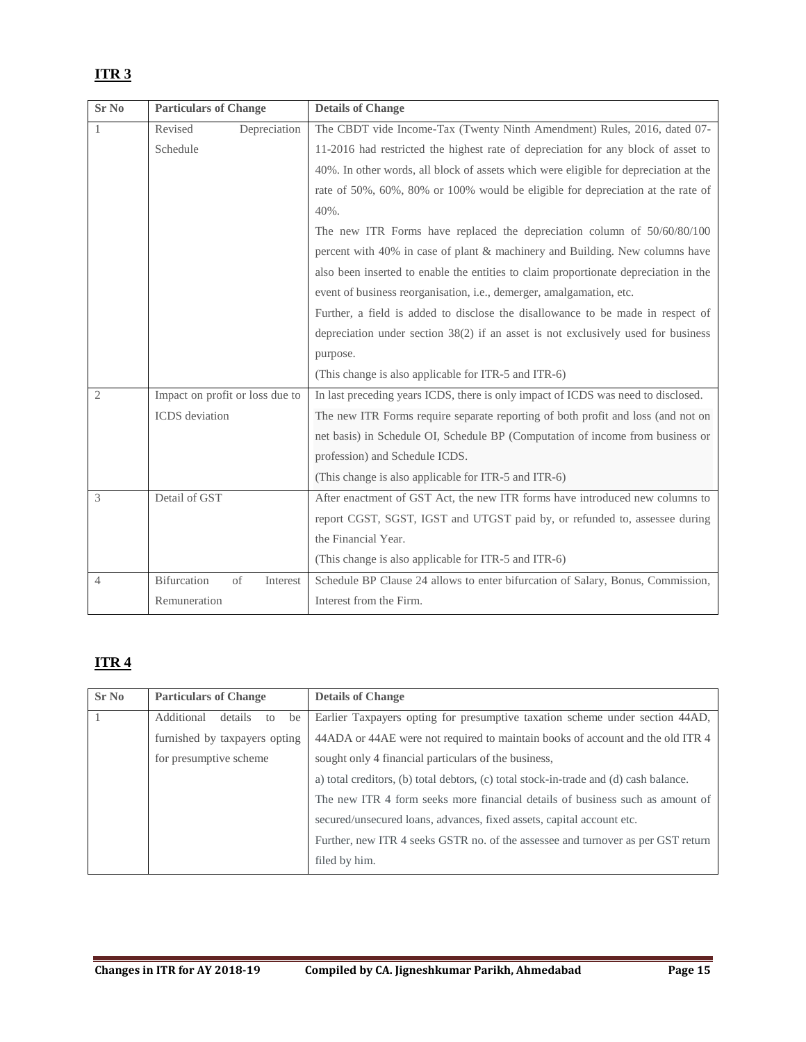# <span id="page-14-0"></span>**ITR 3**

| <b>Sr No</b>   | <b>Particulars of Change</b>    | <b>Details of Change</b>                                                             |
|----------------|---------------------------------|--------------------------------------------------------------------------------------|
|                | Revised<br>Depreciation         | The CBDT vide Income-Tax (Twenty Ninth Amendment) Rules, 2016, dated 07-             |
|                | Schedule                        | 11-2016 had restricted the highest rate of depreciation for any block of asset to    |
|                |                                 | 40%. In other words, all block of assets which were eligible for depreciation at the |
|                |                                 | rate of 50%, 60%, 80% or 100% would be eligible for depreciation at the rate of      |
|                |                                 | 40%.                                                                                 |
|                |                                 | The new ITR Forms have replaced the depreciation column of 50/60/80/100              |
|                |                                 | percent with 40% in case of plant & machinery and Building. New columns have         |
|                |                                 | also been inserted to enable the entities to claim proportionate depreciation in the |
|                |                                 | event of business reorganisation, i.e., demerger, amalgamation, etc.                 |
|                |                                 | Further, a field is added to disclose the disallowance to be made in respect of      |
|                |                                 | depreciation under section $38(2)$ if an asset is not exclusively used for business  |
|                |                                 | purpose.                                                                             |
|                |                                 | (This change is also applicable for ITR-5 and ITR-6)                                 |
| $\overline{2}$ | Impact on profit or loss due to | In last preceding years ICDS, there is only impact of ICDS was need to disclosed.    |
|                | ICDS deviation                  | The new ITR Forms require separate reporting of both profit and loss (and not on     |
|                |                                 | net basis) in Schedule OI, Schedule BP (Computation of income from business or       |
|                |                                 | profession) and Schedule ICDS.                                                       |
|                |                                 | (This change is also applicable for ITR-5 and ITR-6)                                 |
| 3              | Detail of GST                   | After enactment of GST Act, the new ITR forms have introduced new columns to         |
|                |                                 | report CGST, SGST, IGST and UTGST paid by, or refunded to, assessee during           |
|                |                                 | the Financial Year.                                                                  |
|                |                                 | (This change is also applicable for ITR-5 and ITR-6)                                 |
| $\overline{4}$ | Bifurcation<br>of<br>Interest   | Schedule BP Clause 24 allows to enter bifurcation of Salary, Bonus, Commission,      |
|                | Remuneration                    | Interest from the Firm.                                                              |

# <span id="page-14-1"></span>**ITR 4**

| <b>Sr No</b> | <b>Particulars of Change</b>      | <b>Details of Change</b>                                                              |
|--------------|-----------------------------------|---------------------------------------------------------------------------------------|
|              | Additional<br>details<br>be<br>to | Earlier Taxpayers opting for presumptive taxation scheme under section 44AD,          |
|              | furnished by taxpayers opting     | 44ADA or 44AE were not required to maintain books of account and the old ITR 4        |
|              | for presumptive scheme            | sought only 4 financial particulars of the business,                                  |
|              |                                   | a) total creditors, (b) total debtors, (c) total stock-in-trade and (d) cash balance. |
|              |                                   | The new ITR 4 form seeks more financial details of business such as amount of         |
|              |                                   | secured/unsecured loans, advances, fixed assets, capital account etc.                 |
|              |                                   | Further, new ITR 4 seeks GSTR no. of the assessee and turnover as per GST return      |
|              |                                   | filed by him.                                                                         |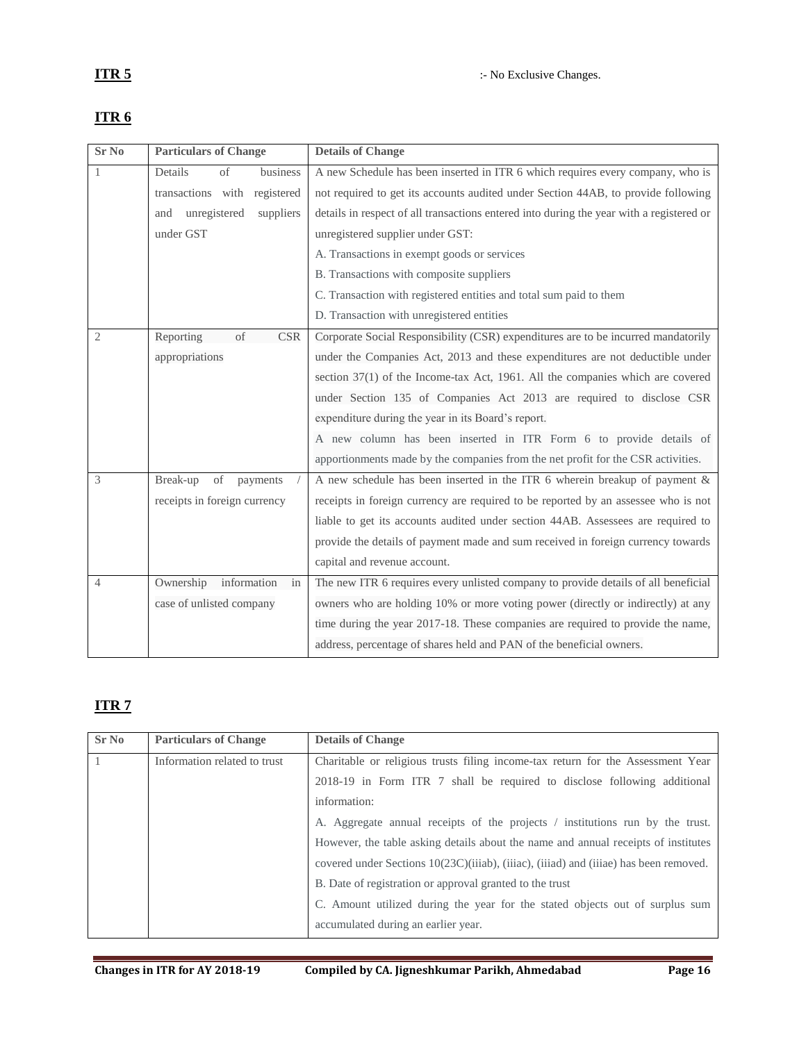| <b>Sr No</b>   | <b>Particulars of Change</b>     | <b>Details of Change</b>                                                                 |
|----------------|----------------------------------|------------------------------------------------------------------------------------------|
|                | Details<br>of<br>business        | A new Schedule has been inserted in ITR 6 which requires every company, who is           |
|                | transactions with registered     | not required to get its accounts audited under Section 44AB, to provide following        |
|                | unregistered<br>suppliers<br>and | details in respect of all transactions entered into during the year with a registered or |
|                | under GST                        | unregistered supplier under GST:                                                         |
|                |                                  | A. Transactions in exempt goods or services                                              |
|                |                                  | B. Transactions with composite suppliers                                                 |
|                |                                  | C. Transaction with registered entities and total sum paid to them                       |
|                |                                  | D. Transaction with unregistered entities                                                |
| 2              | Reporting<br>of<br><b>CSR</b>    | Corporate Social Responsibility (CSR) expenditures are to be incurred mandatorily        |
|                | appropriations                   | under the Companies Act, 2013 and these expenditures are not deductible under            |
|                |                                  | section 37(1) of the Income-tax Act, 1961. All the companies which are covered           |
|                |                                  | under Section 135 of Companies Act 2013 are required to disclose CSR                     |
|                |                                  | expenditure during the year in its Board's report.                                       |
|                |                                  | A new column has been inserted in ITR Form 6 to provide details of                       |
|                |                                  | apportionments made by the companies from the net profit for the CSR activities.         |
| 3              | Break-up<br>of<br>payments       | A new schedule has been inserted in the ITR 6 wherein breakup of payment $\&$            |
|                | receipts in foreign currency     | receipts in foreign currency are required to be reported by an assessee who is not       |
|                |                                  | liable to get its accounts audited under section 44AB. Assessees are required to         |
|                |                                  | provide the details of payment made and sum received in foreign currency towards         |
|                |                                  | capital and revenue account.                                                             |
| $\overline{4}$ | Ownership<br>information<br>in   | The new ITR 6 requires every unlisted company to provide details of all beneficial       |
|                | case of unlisted company         | owners who are holding 10% or more voting power (directly or indirectly) at any          |
|                |                                  | time during the year 2017-18. These companies are required to provide the name,          |
|                |                                  | address, percentage of shares held and PAN of the beneficial owners.                     |

## <span id="page-15-1"></span><span id="page-15-0"></span>**ITR 6**

# <span id="page-15-2"></span>**ITR 7**

| Sr No | <b>Particulars of Change</b> | <b>Details of Change</b>                                                              |
|-------|------------------------------|---------------------------------------------------------------------------------------|
|       | Information related to trust | Charitable or religious trusts filing income-tax return for the Assessment Year       |
|       |                              | 2018-19 in Form ITR 7 shall be required to disclose following additional              |
|       |                              | information:                                                                          |
|       |                              | A. Aggregate annual receipts of the projects / institutions run by the trust.         |
|       |                              | However, the table asking details about the name and annual receipts of institutes    |
|       |                              | covered under Sections 10(23C)(iiiab), (iiiac), (iiiad) and (iiiae) has been removed. |
|       |                              | B. Date of registration or approval granted to the trust                              |
|       |                              | C. Amount utilized during the year for the stated objects out of surplus sum          |
|       |                              | accumulated during an earlier year.                                                   |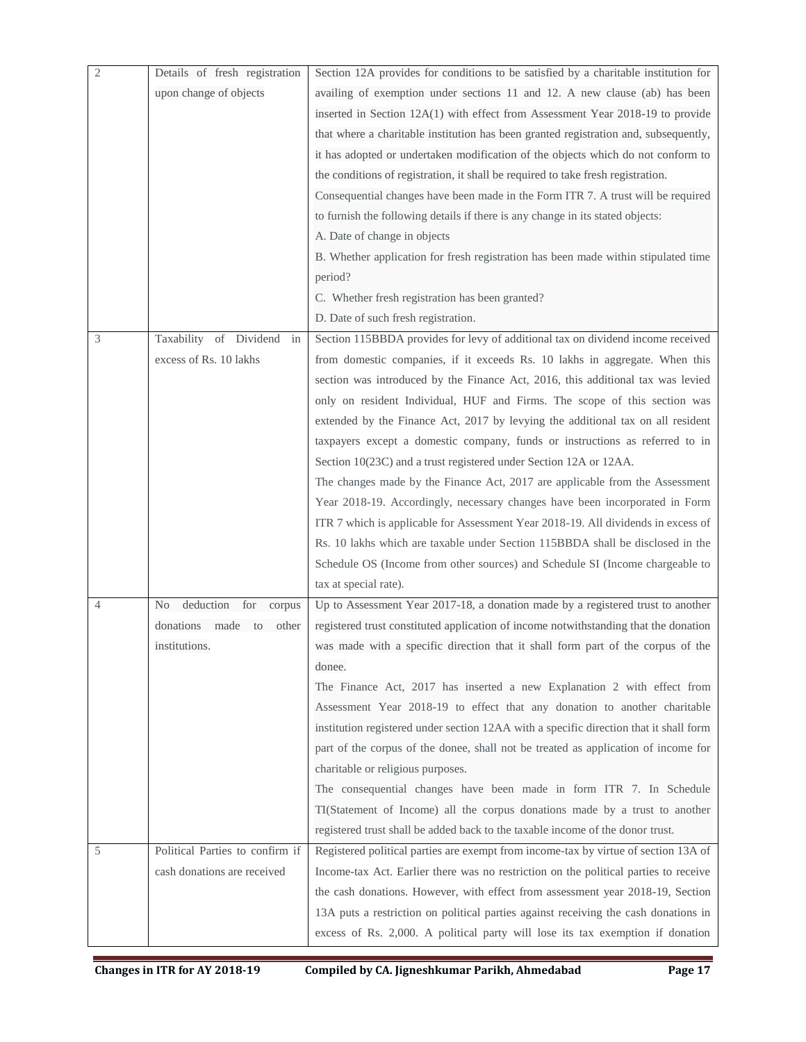| $\mathfrak{2}$ | Details of fresh registration    | Section 12A provides for conditions to be satisfied by a charitable institution for    |
|----------------|----------------------------------|----------------------------------------------------------------------------------------|
|                | upon change of objects           | availing of exemption under sections 11 and 12. A new clause (ab) has been             |
|                |                                  | inserted in Section 12A(1) with effect from Assessment Year 2018-19 to provide         |
|                |                                  | that where a charitable institution has been granted registration and, subsequently,   |
|                |                                  | it has adopted or undertaken modification of the objects which do not conform to       |
|                |                                  | the conditions of registration, it shall be required to take fresh registration.       |
|                |                                  | Consequential changes have been made in the Form ITR 7. A trust will be required       |
|                |                                  | to furnish the following details if there is any change in its stated objects:         |
|                |                                  | A. Date of change in objects                                                           |
|                |                                  | B. Whether application for fresh registration has been made within stipulated time     |
|                |                                  | period?                                                                                |
|                |                                  | C. Whether fresh registration has been granted?                                        |
|                |                                  | D. Date of such fresh registration.                                                    |
| 3              | Taxability of Dividend<br>in     | Section 115BBDA provides for levy of additional tax on dividend income received        |
|                | excess of Rs. 10 lakhs           | from domestic companies, if it exceeds Rs. 10 lakhs in aggregate. When this            |
|                |                                  | section was introduced by the Finance Act, 2016, this additional tax was levied        |
|                |                                  | only on resident Individual, HUF and Firms. The scope of this section was              |
|                |                                  | extended by the Finance Act, 2017 by levying the additional tax on all resident        |
|                |                                  | taxpayers except a domestic company, funds or instructions as referred to in           |
|                |                                  | Section 10(23C) and a trust registered under Section 12A or 12AA.                      |
|                |                                  | The changes made by the Finance Act, 2017 are applicable from the Assessment           |
|                |                                  | Year 2018-19. Accordingly, necessary changes have been incorporated in Form            |
|                |                                  | ITR 7 which is applicable for Assessment Year 2018-19. All dividends in excess of      |
|                |                                  | Rs. 10 lakhs which are taxable under Section 115BBDA shall be disclosed in the         |
|                |                                  | Schedule OS (Income from other sources) and Schedule SI (Income chargeable to          |
|                |                                  | tax at special rate).                                                                  |
| 4              | deduction for<br>No<br>corpus    | Up to Assessment Year 2017-18, a donation made by a registered trust to another        |
|                | donations<br>made<br>to<br>other | registered trust constituted application of income notwithstanding that the donation   |
|                | institutions.                    | was made with a specific direction that it shall form part of the corpus of the        |
|                |                                  | donee.                                                                                 |
|                |                                  | The Finance Act, 2017 has inserted a new Explanation 2 with effect from                |
|                |                                  | Assessment Year 2018-19 to effect that any donation to another charitable              |
|                |                                  | institution registered under section 12AA with a specific direction that it shall form |
|                |                                  | part of the corpus of the donee, shall not be treated as application of income for     |
|                |                                  | charitable or religious purposes.                                                      |
|                |                                  | The consequential changes have been made in form ITR 7. In Schedule                    |
|                |                                  | TI(Statement of Income) all the corpus donations made by a trust to another            |
|                |                                  | registered trust shall be added back to the taxable income of the donor trust.         |
| 5              | Political Parties to confirm if  | Registered political parties are exempt from income-tax by virtue of section 13A of    |
|                | cash donations are received      | Income-tax Act. Earlier there was no restriction on the political parties to receive   |
|                |                                  | the cash donations. However, with effect from assessment year 2018-19, Section         |
|                |                                  | 13A puts a restriction on political parties against receiving the cash donations in    |
|                |                                  | excess of Rs. 2,000. A political party will lose its tax exemption if donation         |